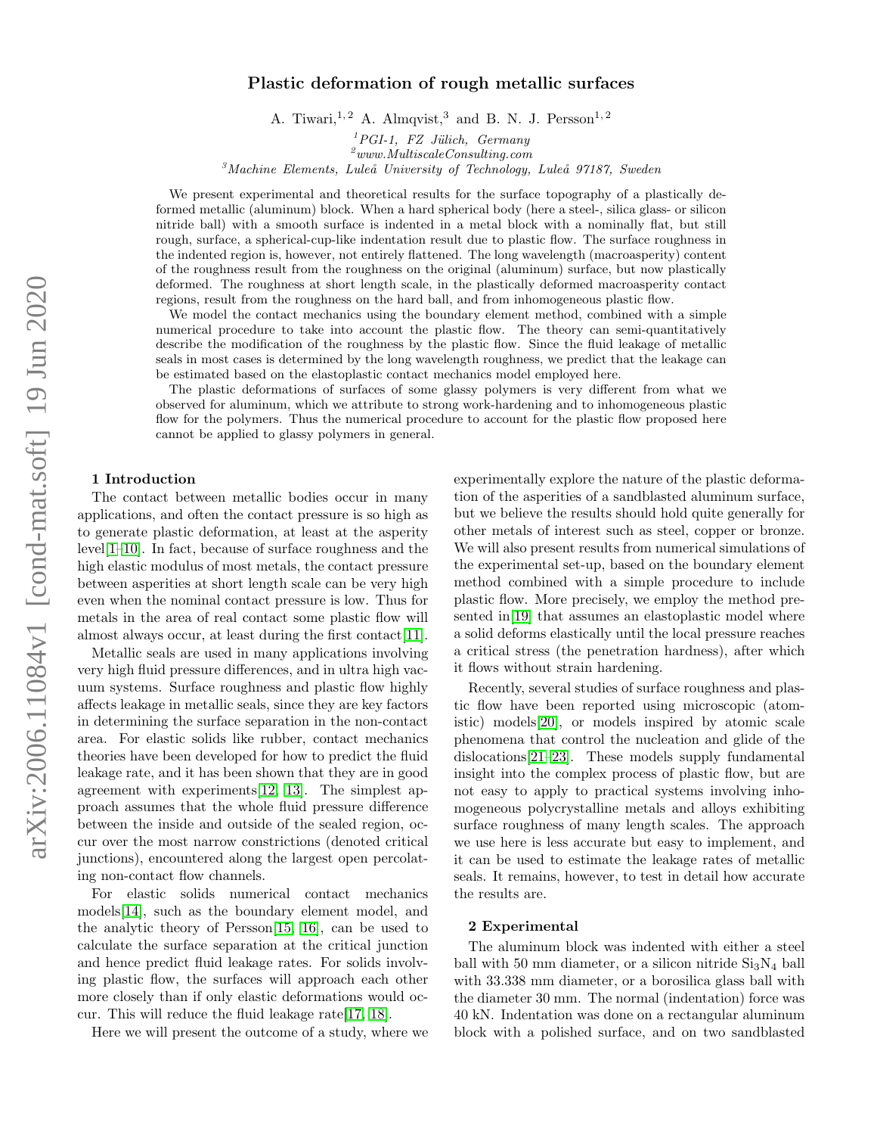# arXiv:2006.11084v1 [cond-mat.soft] 19 Jun 2020 arXiv:2006.11084v1 [cond-mat.soft] 19 Jun 2020

# Plastic deformation of rough metallic surfaces

A. Tiwari,<sup>1, 2</sup> A. Almqvist,<sup>3</sup> and B. N. J. Persson<sup>1, 2</sup>

 ${}^{1}PGI-1$ , FZ Jülich, Germany

 $\it^2$ www.MultiscaleConsulting.com

 $3$ Machine Elements, Luleå University of Technology, Luleå 97187, Sweden

We present experimental and theoretical results for the surface topography of a plastically deformed metallic (aluminum) block. When a hard spherical body (here a steel-, silica glass- or silicon nitride ball) with a smooth surface is indented in a metal block with a nominally flat, but still rough, surface, a spherical-cup-like indentation result due to plastic flow. The surface roughness in the indented region is, however, not entirely flattened. The long wavelength (macroasperity) content of the roughness result from the roughness on the original (aluminum) surface, but now plastically deformed. The roughness at short length scale, in the plastically deformed macroasperity contact regions, result from the roughness on the hard ball, and from inhomogeneous plastic flow.

We model the contact mechanics using the boundary element method, combined with a simple numerical procedure to take into account the plastic flow. The theory can semi-quantitatively describe the modification of the roughness by the plastic flow. Since the fluid leakage of metallic seals in most cases is determined by the long wavelength roughness, we predict that the leakage can be estimated based on the elastoplastic contact mechanics model employed here.

The plastic deformations of surfaces of some glassy polymers is very different from what we observed for aluminum, which we attribute to strong work-hardening and to inhomogeneous plastic flow for the polymers. Thus the numerical procedure to account for the plastic flow proposed here cannot be applied to glassy polymers in general.

# 1 Introduction

The contact between metallic bodies occur in many applications, and often the contact pressure is so high as to generate plastic deformation, at least at the asperity level[\[1](#page-8-0)[–10\]](#page-8-1). In fact, because of surface roughness and the high elastic modulus of most metals, the contact pressure between asperities at short length scale can be very high even when the nominal contact pressure is low. Thus for metals in the area of real contact some plastic flow will almost always occur, at least during the first contact[\[11\]](#page-8-2).

Metallic seals are used in many applications involving very high fluid pressure differences, and in ultra high vacuum systems. Surface roughness and plastic flow highly affects leakage in metallic seals, since they are key factors in determining the surface separation in the non-contact area. For elastic solids like rubber, contact mechanics theories have been developed for how to predict the fluid leakage rate, and it has been shown that they are in good agreement with experiments[\[12,](#page-8-3) [13\]](#page-8-4). The simplest approach assumes that the whole fluid pressure difference between the inside and outside of the sealed region, occur over the most narrow constrictions (denoted critical junctions), encountered along the largest open percolating non-contact flow channels.

For elastic solids numerical contact mechanics models[\[14\]](#page-8-5), such as the boundary element model, and the analytic theory of Persson[\[15,](#page-8-6) [16\]](#page-8-7), can be used to calculate the surface separation at the critical junction and hence predict fluid leakage rates. For solids involving plastic flow, the surfaces will approach each other more closely than if only elastic deformations would occur. This will reduce the fluid leakage rate[\[17,](#page-8-8) [18\]](#page-8-9).

Here we will present the outcome of a study, where we

experimentally explore the nature of the plastic deformation of the asperities of a sandblasted aluminum surface, but we believe the results should hold quite generally for other metals of interest such as steel, copper or bronze. We will also present results from numerical simulations of the experimental set-up, based on the boundary element method combined with a simple procedure to include plastic flow. More precisely, we employ the method presented in[\[19\]](#page-8-10) that assumes an elastoplastic model where a solid deforms elastically until the local pressure reaches a critical stress (the penetration hardness), after which it flows without strain hardening.

Recently, several studies of surface roughness and plastic flow have been reported using microscopic (atomistic) models[\[20\]](#page-8-11), or models inspired by atomic scale phenomena that control the nucleation and glide of the dislocations[\[21](#page-8-12)[–23\]](#page-8-13). These models supply fundamental insight into the complex process of plastic flow, but are not easy to apply to practical systems involving inhomogeneous polycrystalline metals and alloys exhibiting surface roughness of many length scales. The approach we use here is less accurate but easy to implement, and it can be used to estimate the leakage rates of metallic seals. It remains, however, to test in detail how accurate the results are.

### 2 Experimental

The aluminum block was indented with either a steel ball with 50 mm diameter, or a silicon nitride  $Si<sub>3</sub>N<sub>4</sub>$  ball with 33.338 mm diameter, or a borosilica glass ball with the diameter 30 mm. The normal (indentation) force was 40 kN. Indentation was done on a rectangular aluminum block with a polished surface, and on two sandblasted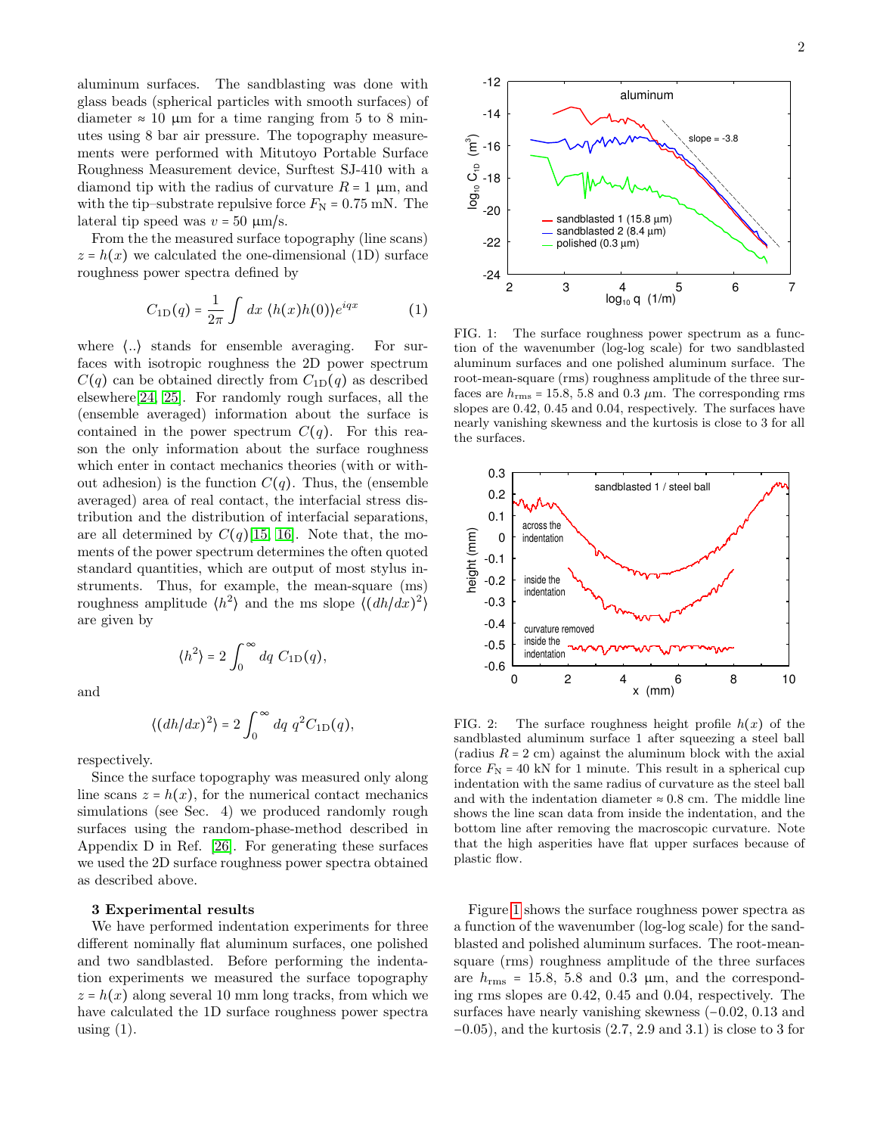aluminum surfaces. The sandblasting was done with glass beads (spherical particles with smooth surfaces) of diameter  $\approx 10 \mu m$  for a time ranging from 5 to 8 minutes using 8 bar air pressure. The topography measurements were performed with Mitutoyo Portable Surface Roughness Measurement device, Surftest SJ-410 with a diamond tip with the radius of curvature  $R = 1 \mu m$ , and with the tip–substrate repulsive force  $F_{\rm N}$  = 0.75 mN. The lateral tip speed was  $v = 50 \text{ }\mu\text{m/s}.$ 

From the the measured surface topography (line scans)  $z = h(x)$  we calculated the one-dimensional (1D) surface roughness power spectra defined by

$$
C_{1D}(q) = \frac{1}{2\pi} \int dx \, \langle h(x)h(0) \rangle e^{iqx} \tag{1}
$$

where  $\langle \ldots \rangle$  stands for ensemble averaging. For surfaces with isotropic roughness the 2D power spectrum  $C(q)$  can be obtained directly from  $C_{1D}(q)$  as described elsewhere[\[24,](#page-8-14) [25\]](#page-8-15). For randomly rough surfaces, all the (ensemble averaged) information about the surface is contained in the power spectrum  $C(q)$ . For this reason the only information about the surface roughness which enter in contact mechanics theories (with or without adhesion) is the function  $C(q)$ . Thus, the (ensemble averaged) area of real contact, the interfacial stress distribution and the distribution of interfacial separations, are all determined by  $C(q)[15, 16]$  $C(q)[15, 16]$  $C(q)[15, 16]$ . Note that, the moments of the power spectrum determines the often quoted standard quantities, which are output of most stylus instruments. Thus, for example, the mean-square (ms) roughness amplitude  $\langle h^2 \rangle$  and the ms slope  $\langle (dh/dx)^2 \rangle$ are given by

and

$$
\langle (dh/dx)^2 \rangle = 2 \int_0^\infty dq \ q^2 C_{1\text{D}}(q),
$$

 $\int_0^{\pi} dq C_{1D}(q),$ 

 $\langle h^2 \rangle = 2 \int_0^\infty$ 

respectively.

Since the surface topography was measured only along line scans  $z = h(x)$ , for the numerical contact mechanics simulations (see Sec. 4) we produced randomly rough surfaces using the random-phase-method described in Appendix D in Ref. [\[26\]](#page-8-16). For generating these surfaces we used the 2D surface roughness power spectra obtained as described above.

### 3 Experimental results

We have performed indentation experiments for three different nominally flat aluminum surfaces, one polished and two sandblasted. Before performing the indentation experiments we measured the surface topography  $z = h(x)$  along several 10 mm long tracks, from which we have calculated the 1D surface roughness power spectra using  $(1)$ .



<span id="page-1-0"></span>FIG. 1: The surface roughness power spectrum as a function of the wavenumber (log-log scale) for two sandblasted aluminum surfaces and one polished aluminum surface. The root-mean-square (rms) roughness amplitude of the three surfaces are  $h_{\rm rms}$  = 15.8, 5.8 and 0.3  $\mu$ m. The corresponding rms slopes are 0.42, 0.45 and 0.04, respectively. The surfaces have nearly vanishing skewness and the kurtosis is close to 3 for all the surfaces.



<span id="page-1-1"></span>FIG. 2: The surface roughness height profile  $h(x)$  of the sandblasted aluminum surface 1 after squeezing a steel ball (radius  $R = 2$  cm) against the aluminum block with the axial force  $F<sub>N</sub>$  = 40 kN for 1 minute. This result in a spherical cup indentation with the same radius of curvature as the steel ball and with the indentation diameter  $\approx 0.8$  cm. The middle line shows the line scan data from inside the indentation, and the bottom line after removing the macroscopic curvature. Note that the high asperities have flat upper surfaces because of plastic flow.

Figure [1](#page-1-0) shows the surface roughness power spectra as a function of the wavenumber (log-log scale) for the sandblasted and polished aluminum surfaces. The root-meansquare (rms) roughness amplitude of the three surfaces are  $h_{\text{rms}} = 15.8$ , 5.8 and 0.3  $\mu$ m, and the corresponding rms slopes are 0.42, 0.45 and 0.04, respectively. The surfaces have nearly vanishing skewness  $(-0.02, 0.13, 0.13)$ −0.05), and the kurtosis (2.7, 2.9 and 3.1) is close to 3 for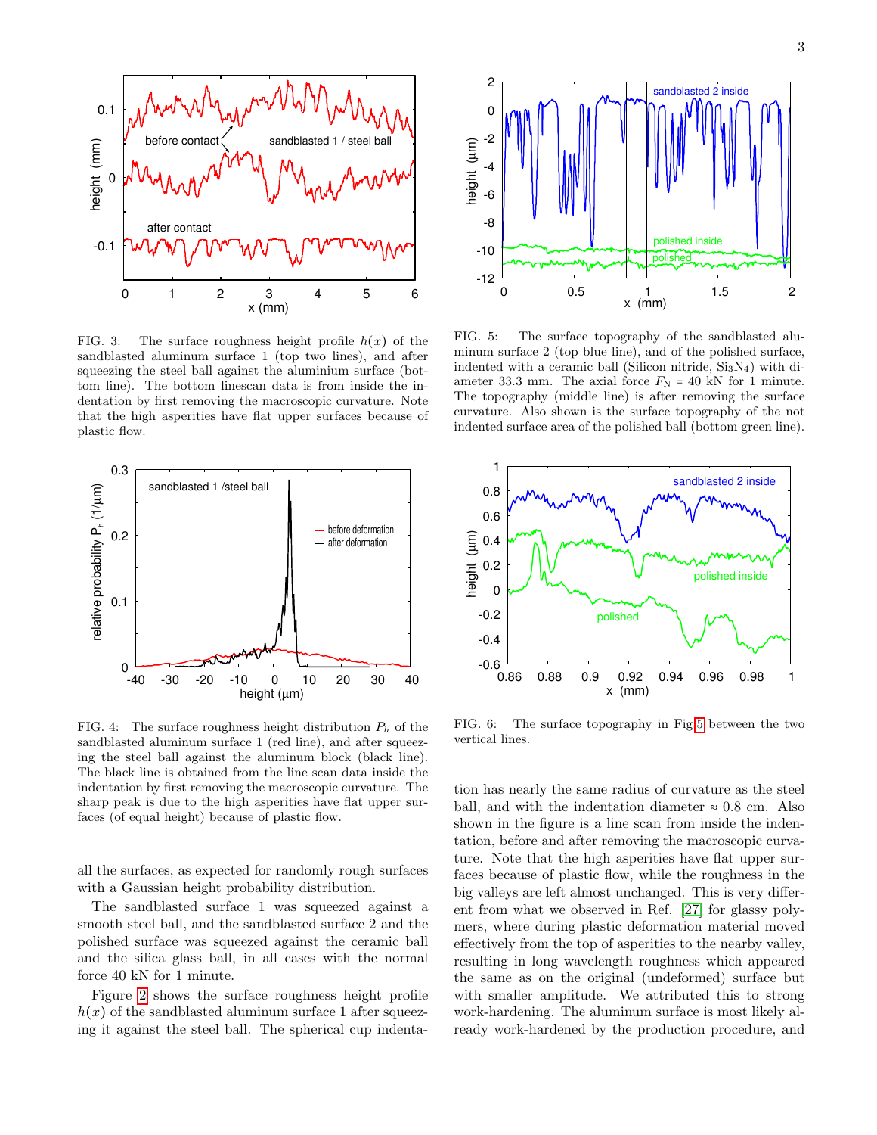

<span id="page-2-1"></span>FIG. 3: The surface roughness height profile  $h(x)$  of the sandblasted aluminum surface 1 (top two lines), and after squeezing the steel ball against the aluminium surface (bottom line). The bottom linescan data is from inside the indentation by first removing the macroscopic curvature. Note that the high asperities have flat upper surfaces because of plastic flow.



<span id="page-2-2"></span>FIG. 4: The surface roughness height distribution  $P_h$  of the sandblasted aluminum surface 1 (red line), and after squeezing the steel ball against the aluminum block (black line). The black line is obtained from the line scan data inside the indentation by first removing the macroscopic curvature. The sharp peak is due to the high asperities have flat upper surfaces (of equal height) because of plastic flow.

all the surfaces, as expected for randomly rough surfaces with a Gaussian height probability distribution.

The sandblasted surface 1 was squeezed against a smooth steel ball, and the sandblasted surface 2 and the polished surface was squeezed against the ceramic ball and the silica glass ball, in all cases with the normal force 40 kN for 1 minute.

Figure [2](#page-1-1) shows the surface roughness height profile  $h(x)$  of the sandblasted aluminum surface 1 after squeezing it against the steel ball. The spherical cup indenta-



<span id="page-2-0"></span>FIG. 5: The surface topography of the sandblasted aluminum surface 2 (top blue line), and of the polished surface, indented with a ceramic ball (Silicon nitride,  $Si<sub>3</sub>N<sub>4</sub>$ ) with diameter 33.3 mm. The axial force  $F_N = 40$  kN for 1 minute. The topography (middle line) is after removing the surface curvature. Also shown is the surface topography of the not indented surface area of the polished ball (bottom green line).



<span id="page-2-3"></span>FIG. 6: The surface topography in Fig[.5](#page-2-0) between the two vertical lines.

tion has nearly the same radius of curvature as the steel ball, and with the indentation diameter  $\approx 0.8$  cm. Also shown in the figure is a line scan from inside the indentation, before and after removing the macroscopic curvature. Note that the high asperities have flat upper surfaces because of plastic flow, while the roughness in the big valleys are left almost unchanged. This is very different from what we observed in Ref. [\[27\]](#page-9-0) for glassy polymers, where during plastic deformation material moved effectively from the top of asperities to the nearby valley, resulting in long wavelength roughness which appeared the same as on the original (undeformed) surface but with smaller amplitude. We attributed this to strong work-hardening. The aluminum surface is most likely already work-hardened by the production procedure, and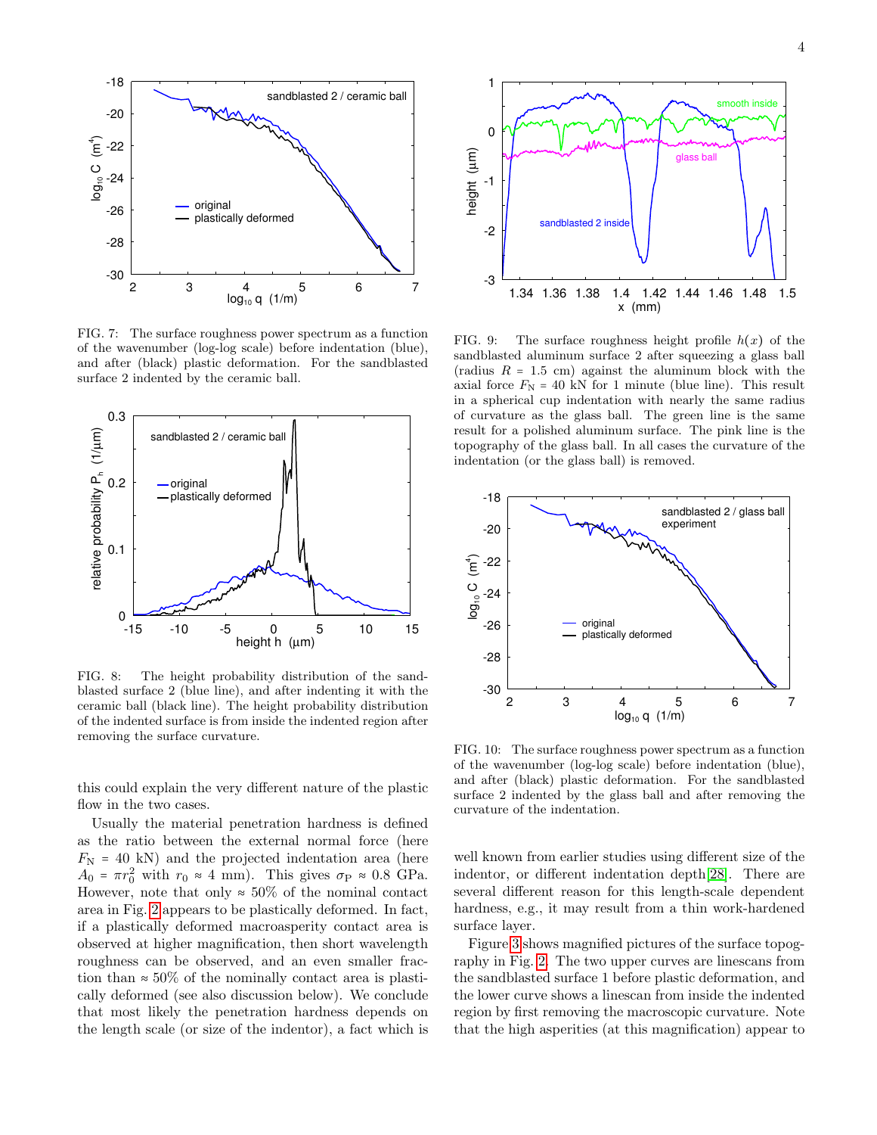

<span id="page-3-3"></span>FIG. 7: The surface roughness power spectrum as a function of the wavenumber (log-log scale) before indentation (blue), and after (black) plastic deformation. For the sandblasted surface 2 indented by the ceramic ball.



<span id="page-3-0"></span>FIG. 8: The height probability distribution of the sandblasted surface 2 (blue line), and after indenting it with the ceramic ball (black line). The height probability distribution of the indented surface is from inside the indented region after removing the surface curvature.

this could explain the very different nature of the plastic flow in the two cases.

Usually the material penetration hardness is defined as the ratio between the external normal force (here  $F_{\rm N}$  = 40 kN) and the projected indentation area (here  $A_0 = \pi r_0^2$  with  $r_0 \approx 4$  mm). This gives  $\sigma_{\rm P} \approx 0.8$  GPa. However, note that only  $\approx 50\%$  of the nominal contact area in Fig. [2](#page-1-1) appears to be plastically deformed. In fact, if a plastically deformed macroasperity contact area is observed at higher magnification, then short wavelength roughness can be observed, and an even smaller fraction than  $\approx 50\%$  of the nominally contact area is plastically deformed (see also discussion below). We conclude that most likely the penetration hardness depends on the length scale (or size of the indentor), a fact which is



<span id="page-3-1"></span>FIG. 9: The surface roughness height profile  $h(x)$  of the sandblasted aluminum surface 2 after squeezing a glass ball (radius  $R = 1.5$  cm) against the aluminum block with the axial force  $F_N = 40$  kN for 1 minute (blue line). This result in a spherical cup indentation with nearly the same radius of curvature as the glass ball. The green line is the same result for a polished aluminum surface. The pink line is the topography of the glass ball. In all cases the curvature of the indentation (or the glass ball) is removed.



<span id="page-3-2"></span>FIG. 10: The surface roughness power spectrum as a function of the wavenumber (log-log scale) before indentation (blue), and after (black) plastic deformation. For the sandblasted surface 2 indented by the glass ball and after removing the curvature of the indentation.

well known from earlier studies using different size of the indentor, or different indentation depth[\[28\]](#page-9-1). There are several different reason for this length-scale dependent hardness, e.g., it may result from a thin work-hardened surface layer.

Figure [3](#page-2-1) shows magnified pictures of the surface topography in Fig. [2.](#page-1-1) The two upper curves are linescans from the sandblasted surface 1 before plastic deformation, and the lower curve shows a linescan from inside the indented region by first removing the macroscopic curvature. Note that the high asperities (at this magnification) appear to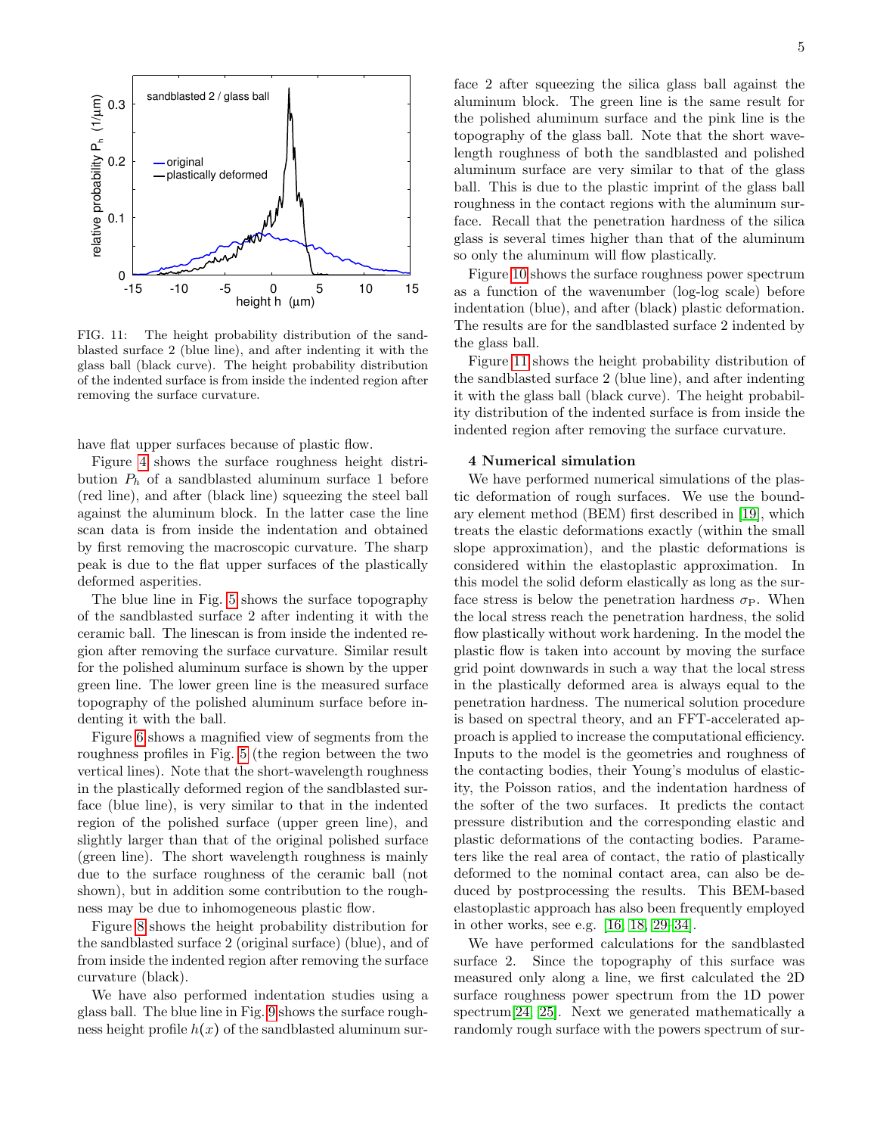

<span id="page-4-0"></span>FIG. 11: The height probability distribution of the sandblasted surface 2 (blue line), and after indenting it with the glass ball (black curve). The height probability distribution of the indented surface is from inside the indented region after removing the surface curvature.

have flat upper surfaces because of plastic flow.

Figure [4](#page-2-2) shows the surface roughness height distribution  $P_h$  of a sandblasted aluminum surface 1 before (red line), and after (black line) squeezing the steel ball against the aluminum block. In the latter case the line scan data is from inside the indentation and obtained by first removing the macroscopic curvature. The sharp peak is due to the flat upper surfaces of the plastically deformed asperities.

The blue line in Fig. [5](#page-2-0) shows the surface topography of the sandblasted surface 2 after indenting it with the ceramic ball. The linescan is from inside the indented region after removing the surface curvature. Similar result for the polished aluminum surface is shown by the upper green line. The lower green line is the measured surface topography of the polished aluminum surface before indenting it with the ball.

Figure [6](#page-2-3) shows a magnified view of segments from the roughness profiles in Fig. [5](#page-2-0) (the region between the two vertical lines). Note that the short-wavelength roughness in the plastically deformed region of the sandblasted surface (blue line), is very similar to that in the indented region of the polished surface (upper green line), and slightly larger than that of the original polished surface (green line). The short wavelength roughness is mainly due to the surface roughness of the ceramic ball (not shown), but in addition some contribution to the roughness may be due to inhomogeneous plastic flow.

Figure [8](#page-3-0) shows the height probability distribution for the sandblasted surface 2 (original surface) (blue), and of from inside the indented region after removing the surface curvature (black).

We have also performed indentation studies using a glass ball. The blue line in Fig. [9](#page-3-1) shows the surface roughness height profile  $h(x)$  of the sandblasted aluminum sur-

face 2 after squeezing the silica glass ball against the aluminum block. The green line is the same result for the polished aluminum surface and the pink line is the topography of the glass ball. Note that the short wavelength roughness of both the sandblasted and polished aluminum surface are very similar to that of the glass ball. This is due to the plastic imprint of the glass ball roughness in the contact regions with the aluminum surface. Recall that the penetration hardness of the silica glass is several times higher than that of the aluminum so only the aluminum will flow plastically.

Figure [10](#page-3-2) shows the surface roughness power spectrum as a function of the wavenumber (log-log scale) before indentation (blue), and after (black) plastic deformation. The results are for the sandblasted surface 2 indented by the glass ball.

Figure [11](#page-4-0) shows the height probability distribution of the sandblasted surface 2 (blue line), and after indenting it with the glass ball (black curve). The height probability distribution of the indented surface is from inside the indented region after removing the surface curvature.

### 4 Numerical simulation

We have performed numerical simulations of the plastic deformation of rough surfaces. We use the boundary element method (BEM) first described in [\[19\]](#page-8-10), which treats the elastic deformations exactly (within the small slope approximation), and the plastic deformations is considered within the elastoplastic approximation. In this model the solid deform elastically as long as the surface stress is below the penetration hardness  $\sigma_{\rm P}$ . When the local stress reach the penetration hardness, the solid flow plastically without work hardening. In the model the plastic flow is taken into account by moving the surface grid point downwards in such a way that the local stress in the plastically deformed area is always equal to the penetration hardness. The numerical solution procedure is based on spectral theory, and an FFT-accelerated approach is applied to increase the computational efficiency. Inputs to the model is the geometries and roughness of the contacting bodies, their Young's modulus of elasticity, the Poisson ratios, and the indentation hardness of the softer of the two surfaces. It predicts the contact pressure distribution and the corresponding elastic and plastic deformations of the contacting bodies. Parameters like the real area of contact, the ratio of plastically deformed to the nominal contact area, can also be deduced by postprocessing the results. This BEM-based elastoplastic approach has also been frequently employed in other works, see e.g. [\[16,](#page-8-7) [18,](#page-8-9) [29–](#page-9-2)[34\]](#page-9-3).

We have performed calculations for the sandblasted surface 2. Since the topography of this surface was measured only along a line, we first calculated the 2D surface roughness power spectrum from the 1D power spectrum[\[24,](#page-8-14) [25\]](#page-8-15). Next we generated mathematically a randomly rough surface with the powers spectrum of sur-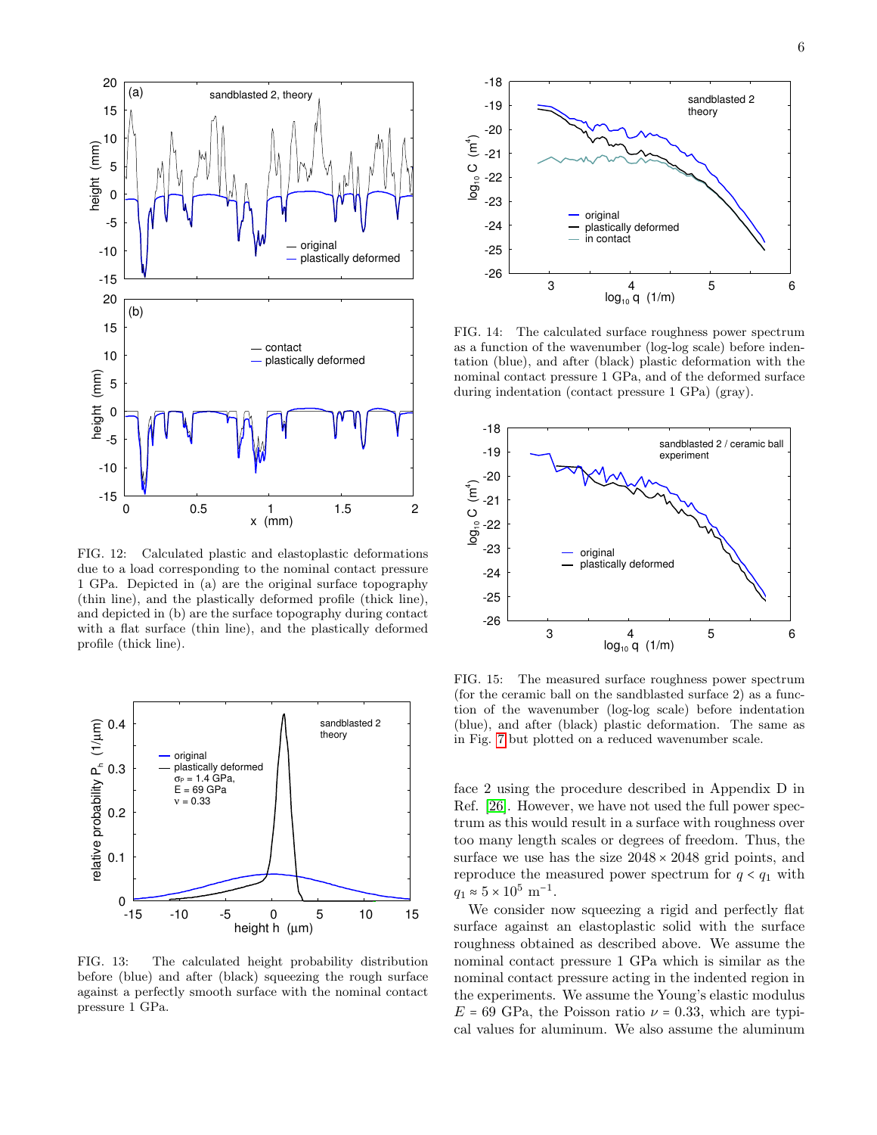

<span id="page-5-1"></span>FIG. 12: Calculated plastic and elastoplastic deformations due to a load corresponding to the nominal contact pressure 1 GPa. Depicted in (a) are the original surface topography (thin line), and the plastically deformed profile (thick line), and depicted in (b) are the surface topography during contact with a flat surface (thin line), and the plastically deformed profile (thick line).



<span id="page-5-2"></span>FIG. 13: The calculated height probability distribution before (blue) and after (black) squeezing the rough surface against a perfectly smooth surface with the nominal contact pressure 1 GPa.



<span id="page-5-0"></span>FIG. 14: The calculated surface roughness power spectrum as a function of the wavenumber (log-log scale) before indentation (blue), and after (black) plastic deformation with the nominal contact pressure 1 GPa, and of the deformed surface during indentation (contact pressure 1 GPa) (gray).



<span id="page-5-3"></span>FIG. 15: The measured surface roughness power spectrum (for the ceramic ball on the sandblasted surface 2) as a function of the wavenumber (log-log scale) before indentation (blue), and after (black) plastic deformation. The same as in Fig. [7](#page-3-3) but plotted on a reduced wavenumber scale.

face 2 using the procedure described in Appendix D in Ref. [\[26\]](#page-8-16). However, we have not used the full power spectrum as this would result in a surface with roughness over too many length scales or degrees of freedom. Thus, the surface we use has the size  $2048 \times 2048$  grid points, and reproduce the measured power spectrum for  $q < q_1$  with  $q_1 \approx 5 \times 10^5 \text{ m}^{-1}.$ 

We consider now squeezing a rigid and perfectly flat surface against an elastoplastic solid with the surface roughness obtained as described above. We assume the nominal contact pressure 1 GPa which is similar as the nominal contact pressure acting in the indented region in the experiments. We assume the Young's elastic modulus  $E = 69$  GPa, the Poisson ratio  $\nu = 0.33$ , which are typical values for aluminum. We also assume the aluminum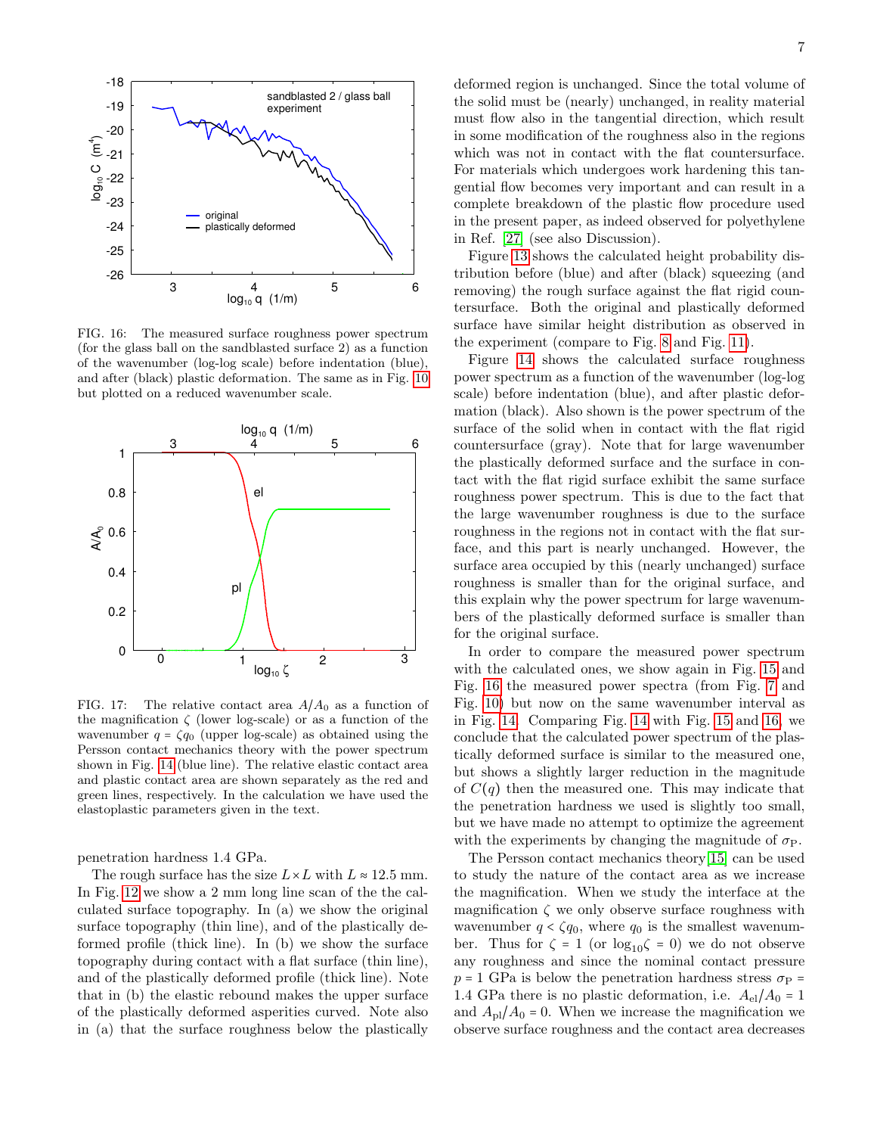

<span id="page-6-0"></span>FIG. 16: The measured surface roughness power spectrum (for the glass ball on the sandblasted surface 2) as a function of the wavenumber (log-log scale) before indentation (blue), and after (black) plastic deformation. The same as in Fig. [10](#page-3-2) but plotted on a reduced wavenumber scale.



<span id="page-6-1"></span>FIG. 17: The relative contact area  $A/A_0$  as a function of the magnification  $\zeta$  (lower log-scale) or as a function of the wavenumber  $q = \zeta q_0$  (upper log-scale) as obtained using the Persson contact mechanics theory with the power spectrum shown in Fig. [14](#page-5-0) (blue line). The relative elastic contact area and plastic contact area are shown separately as the red and green lines, respectively. In the calculation we have used the elastoplastic parameters given in the text.

penetration hardness 1.4 GPa.

The rough surface has the size  $L \times L$  with  $L \approx 12.5$  mm. In Fig. [12](#page-5-1) we show a 2 mm long line scan of the the calculated surface topography. In (a) we show the original surface topography (thin line), and of the plastically deformed profile (thick line). In (b) we show the surface topography during contact with a flat surface (thin line), and of the plastically deformed profile (thick line). Note that in (b) the elastic rebound makes the upper surface of the plastically deformed asperities curved. Note also in (a) that the surface roughness below the plastically deformed region is unchanged. Since the total volume of the solid must be (nearly) unchanged, in reality material must flow also in the tangential direction, which result in some modification of the roughness also in the regions which was not in contact with the flat countersurface. For materials which undergoes work hardening this tangential flow becomes very important and can result in a complete breakdown of the plastic flow procedure used in the present paper, as indeed observed for polyethylene in Ref. [\[27\]](#page-9-0) (see also Discussion).

Figure [13](#page-5-2) shows the calculated height probability distribution before (blue) and after (black) squeezing (and removing) the rough surface against the flat rigid countersurface. Both the original and plastically deformed surface have similar height distribution as observed in the experiment (compare to Fig. [8](#page-3-0) and Fig. [11\)](#page-4-0).

Figure [14](#page-5-0) shows the calculated surface roughness power spectrum as a function of the wavenumber (log-log scale) before indentation (blue), and after plastic deformation (black). Also shown is the power spectrum of the surface of the solid when in contact with the flat rigid countersurface (gray). Note that for large wavenumber the plastically deformed surface and the surface in contact with the flat rigid surface exhibit the same surface roughness power spectrum. This is due to the fact that the large wavenumber roughness is due to the surface roughness in the regions not in contact with the flat surface, and this part is nearly unchanged. However, the surface area occupied by this (nearly unchanged) surface roughness is smaller than for the original surface, and this explain why the power spectrum for large wavenumbers of the plastically deformed surface is smaller than for the original surface.

In order to compare the measured power spectrum with the calculated ones, we show again in Fig. [15](#page-5-3) and Fig. [16](#page-6-0) the measured power spectra (from Fig. [7](#page-3-3) and Fig. [10\)](#page-3-2) but now on the same wavenumber interval as in Fig. [14.](#page-5-0) Comparing Fig. [14](#page-5-0) with Fig. [15](#page-5-3) and [16,](#page-6-0) we conclude that the calculated power spectrum of the plastically deformed surface is similar to the measured one, but shows a slightly larger reduction in the magnitude of  $C(q)$  then the measured one. This may indicate that the penetration hardness we used is slightly too small, but we have made no attempt to optimize the agreement with the experiments by changing the magnitude of  $\sigma_{\rm P}$ .

The Persson contact mechanics theory[\[15\]](#page-8-6) can be used to study the nature of the contact area as we increase the magnification. When we study the interface at the magnification  $\zeta$  we only observe surface roughness with wavenumber  $q < \zeta q_0$ , where  $q_0$  is the smallest wavenumber. Thus for  $\zeta = 1$  (or  $\log_{10} \zeta = 0$ ) we do not observe any roughness and since the nominal contact pressure  $p = 1$  GPa is below the penetration hardness stress  $\sigma_{\rm P}$  = 1.4 GPa there is no plastic deformation, i.e.  $A_{el}/A_0 = 1$ and  $A_{\text{pl}}/A_0 = 0$ . When we increase the magnification we observe surface roughness and the contact area decreases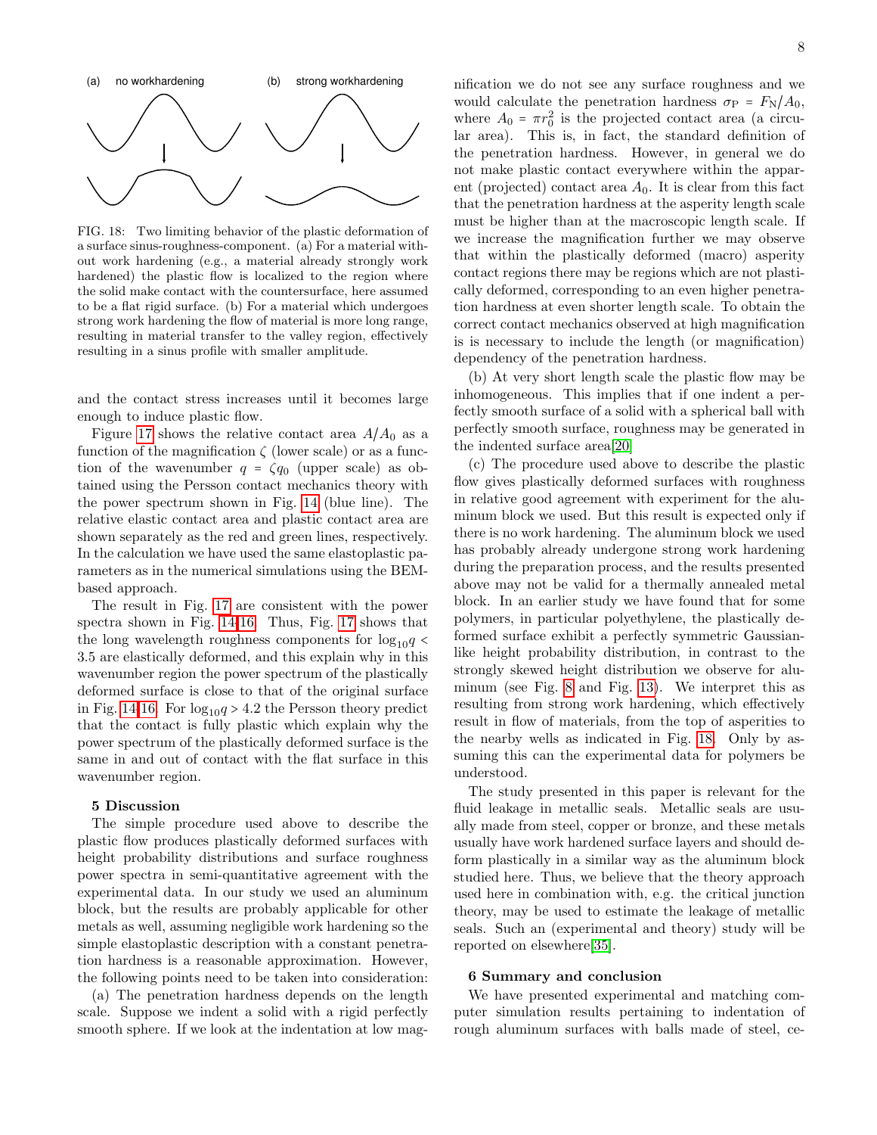

<span id="page-7-0"></span>FIG. 18: Two limiting behavior of the plastic deformation of a surface sinus-roughness-component. (a) For a material without work hardening (e.g., a material already strongly work hardened) the plastic flow is localized to the region where the solid make contact with the countersurface, here assumed to be a flat rigid surface. (b) For a material which undergoes strong work hardening the flow of material is more long range, resulting in material transfer to the valley region, effectively resulting in a sinus profile with smaller amplitude.

and the contact stress increases until it becomes large enough to induce plastic flow.

Figure [17](#page-6-1) shows the relative contact area  $A/A_0$  as a function of the magnification  $\zeta$  (lower scale) or as a function of the wavenumber  $q = \zeta q_0$  (upper scale) as obtained using the Persson contact mechanics theory with the power spectrum shown in Fig. [14](#page-5-0) (blue line). The relative elastic contact area and plastic contact area are shown separately as the red and green lines, respectively. In the calculation we have used the same elastoplastic parameters as in the numerical simulations using the BEMbased approach.

The result in Fig. [17](#page-6-1) are consistent with the power spectra shown in Fig. [14](#page-5-0)[-16.](#page-6-0) Thus, Fig. [17](#page-6-1) shows that the long wavelength roughness components for  $\log_{10}q$ 3.5 are elastically deformed, and this explain why in this wavenumber region the power spectrum of the plastically deformed surface is close to that of the original surface in Fig. [14](#page-5-0)[-16.](#page-6-0) For  $\log_{10}q > 4.2$  the Persson theory predict that the contact is fully plastic which explain why the power spectrum of the plastically deformed surface is the same in and out of contact with the flat surface in this wavenumber region.

# 5 Discussion

The simple procedure used above to describe the plastic flow produces plastically deformed surfaces with height probability distributions and surface roughness power spectra in semi-quantitative agreement with the experimental data. In our study we used an aluminum block, but the results are probably applicable for other metals as well, assuming negligible work hardening so the simple elastoplastic description with a constant penetration hardness is a reasonable approximation. However, the following points need to be taken into consideration:

(a) The penetration hardness depends on the length scale. Suppose we indent a solid with a rigid perfectly smooth sphere. If we look at the indentation at low mag-

nification we do not see any surface roughness and we would calculate the penetration hardness  $\sigma_{\rm P} = F_{\rm N}/A_0$ , where  $A_0 = \pi r_0^2$  is the projected contact area (a circular area). This is, in fact, the standard definition of the penetration hardness. However, in general we do not make plastic contact everywhere within the apparent (projected) contact area  $A_0$ . It is clear from this fact that the penetration hardness at the asperity length scale must be higher than at the macroscopic length scale. If we increase the magnification further we may observe that within the plastically deformed (macro) asperity contact regions there may be regions which are not plastically deformed, corresponding to an even higher penetration hardness at even shorter length scale. To obtain the correct contact mechanics observed at high magnification is is necessary to include the length (or magnification) dependency of the penetration hardness.

(b) At very short length scale the plastic flow may be inhomogeneous. This implies that if one indent a perfectly smooth surface of a solid with a spherical ball with perfectly smooth surface, roughness may be generated in the indented surface area[\[20\]](#page-8-11)

(c) The procedure used above to describe the plastic flow gives plastically deformed surfaces with roughness in relative good agreement with experiment for the aluminum block we used. But this result is expected only if there is no work hardening. The aluminum block we used has probably already undergone strong work hardening during the preparation process, and the results presented above may not be valid for a thermally annealed metal block. In an earlier study we have found that for some polymers, in particular polyethylene, the plastically deformed surface exhibit a perfectly symmetric Gaussianlike height probability distribution, in contrast to the strongly skewed height distribution we observe for aluminum (see Fig. [8](#page-3-0) and Fig. [13\)](#page-5-2). We interpret this as resulting from strong work hardening, which effectively result in flow of materials, from the top of asperities to the nearby wells as indicated in Fig. [18.](#page-7-0) Only by assuming this can the experimental data for polymers be understood.

The study presented in this paper is relevant for the fluid leakage in metallic seals. Metallic seals are usually made from steel, copper or bronze, and these metals usually have work hardened surface layers and should deform plastically in a similar way as the aluminum block studied here. Thus, we believe that the theory approach used here in combination with, e.g. the critical junction theory, may be used to estimate the leakage of metallic seals. Such an (experimental and theory) study will be reported on elsewhere[\[35\]](#page-9-4).

## 6 Summary and conclusion

We have presented experimental and matching computer simulation results pertaining to indentation of rough aluminum surfaces with balls made of steel, ce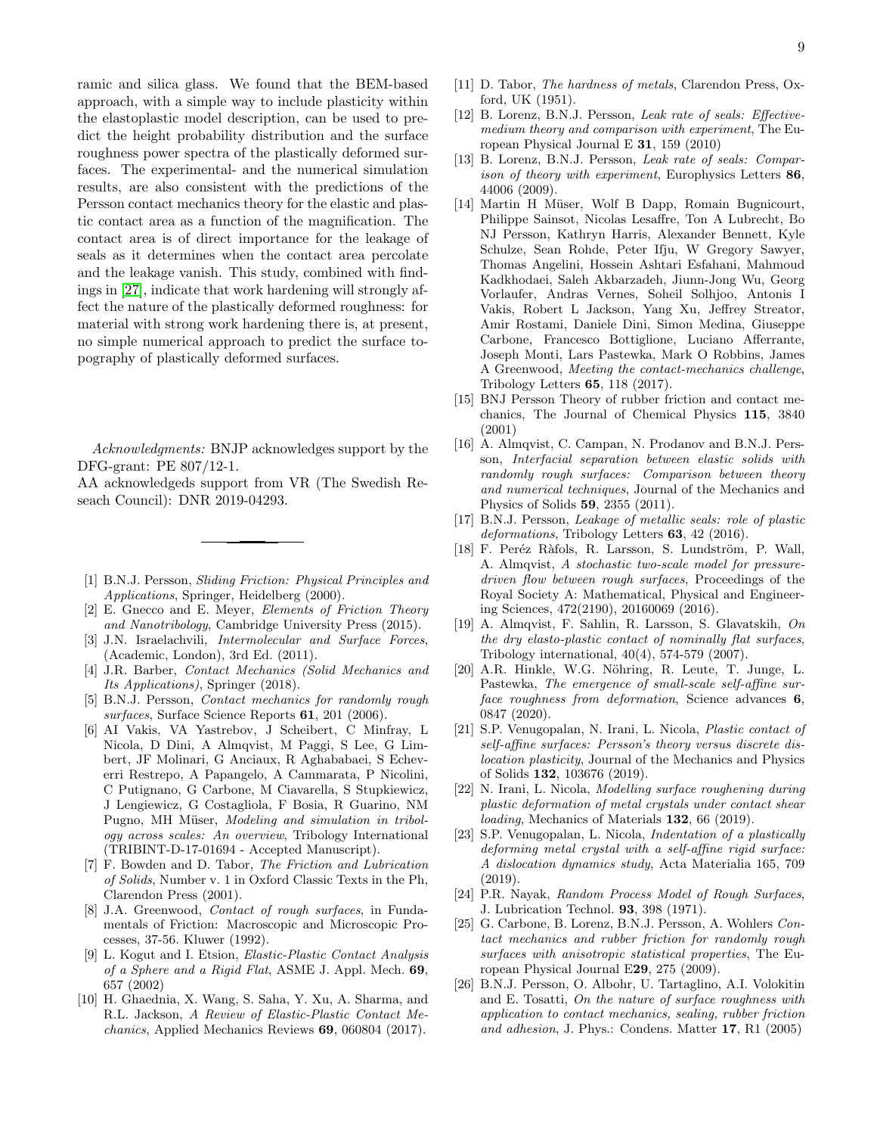ramic and silica glass. We found that the BEM-based approach, with a simple way to include plasticity within the elastoplastic model description, can be used to predict the height probability distribution and the surface roughness power spectra of the plastically deformed surfaces. The experimental- and the numerical simulation results, are also consistent with the predictions of the Persson contact mechanics theory for the elastic and plastic contact area as a function of the magnification. The contact area is of direct importance for the leakage of seals as it determines when the contact area percolate and the leakage vanish. This study, combined with findings in [\[27\]](#page-9-0), indicate that work hardening will strongly affect the nature of the plastically deformed roughness: for material with strong work hardening there is, at present, no simple numerical approach to predict the surface topography of plastically deformed surfaces.

Acknowledgments: BNJP acknowledges support by the DFG-grant: PE 807/12-1.

AA acknowledgeds support from VR (The Swedish Reseach Council): DNR 2019-04293.

- <span id="page-8-0"></span>[1] B.N.J. Persson, Sliding Friction: Physical Principles and Applications, Springer, Heidelberg (2000).
- [2] E. Gnecco and E. Meyer, Elements of Friction Theory and Nanotribology, Cambridge University Press (2015).
- [3] J.N. Israelachvili, *Intermolecular and Surface Forces*, (Academic, London), 3rd Ed. (2011).
- [4] J.R. Barber, Contact Mechanics (Solid Mechanics and Its Applications), Springer (2018).
- [5] B.N.J. Persson, Contact mechanics for randomly rough surfaces, Surface Science Reports 61, 201 (2006).
- [6] AI Vakis, VA Yastrebov, J Scheibert, C Minfray, L Nicola, D Dini, A Almqvist, M Paggi, S Lee, G Limbert, JF Molinari, G Anciaux, R Aghababaei, S Echeverri Restrepo, A Papangelo, A Cammarata, P Nicolini, C Putignano, G Carbone, M Ciavarella, S Stupkiewicz, J Lengiewicz, G Costagliola, F Bosia, R Guarino, NM Pugno, MH Müser, Modeling and simulation in tribology across scales: An overview, Tribology International (TRIBINT-D-17-01694 - Accepted Manuscript).
- [7] F. Bowden and D. Tabor, The Friction and Lubrication of Solids, Number v. 1 in Oxford Classic Texts in the Ph, Clarendon Press (2001).
- [8] J.A. Greenwood, Contact of rough surfaces, in Fundamentals of Friction: Macroscopic and Microscopic Processes, 37-56. Kluwer (1992).
- [9] L. Kogut and I. Etsion, Elastic-Plastic Contact Analysis of a Sphere and a Rigid Flat, ASME J. Appl. Mech. 69, 657 (2002)
- <span id="page-8-1"></span>[10] H. Ghaednia, X. Wang, S. Saha, Y. Xu, A. Sharma, and R.L. Jackson, A Review of Elastic-Plastic Contact Mechanics, Applied Mechanics Reviews 69, 060804 (2017).
- <span id="page-8-2"></span>[11] D. Tabor, The hardness of metals, Clarendon Press, Oxford, UK (1951).
- <span id="page-8-3"></span>[12] B. Lorenz, B.N.J. Persson, Leak rate of seals: Effectivemedium theory and comparison with experiment, The European Physical Journal E 31, 159 (2010)
- <span id="page-8-4"></span>[13] B. Lorenz, B.N.J. Persson, *Leak rate of seals: Compar*ison of theory with experiment, Europhysics Letters 86, 44006 (2009).
- <span id="page-8-5"></span>[14] Martin H Müser, Wolf B Dapp, Romain Bugnicourt, Philippe Sainsot, Nicolas Lesaffre, Ton A Lubrecht, Bo NJ Persson, Kathryn Harris, Alexander Bennett, Kyle Schulze, Sean Rohde, Peter Ifju, W Gregory Sawyer, Thomas Angelini, Hossein Ashtari Esfahani, Mahmoud Kadkhodaei, Saleh Akbarzadeh, Jiunn-Jong Wu, Georg Vorlaufer, Andras Vernes, Soheil Solhjoo, Antonis I Vakis, Robert L Jackson, Yang Xu, Jeffrey Streator, Amir Rostami, Daniele Dini, Simon Medina, Giuseppe Carbone, Francesco Bottiglione, Luciano Afferrante, Joseph Monti, Lars Pastewka, Mark O Robbins, James A Greenwood, Meeting the contact-mechanics challenge, Tribology Letters 65, 118 (2017).
- <span id="page-8-6"></span>[15] BNJ Persson Theory of rubber friction and contact mechanics, The Journal of Chemical Physics 115, 3840 (2001)
- <span id="page-8-7"></span>[16] A. Almqvist, C. Campan, N. Prodanov and B.N.J. Persson, Interfacial separation between elastic solids with randomly rough surfaces: Comparison between theory and numerical techniques, Journal of the Mechanics and Physics of Solids 59, 2355 (2011).
- <span id="page-8-8"></span>[17] B.N.J. Persson, Leakage of metallic seals: role of plastic deformations, Tribology Letters 63, 42 (2016).
- <span id="page-8-9"></span>[18] F. Peréz Ràfols, R. Larsson, S. Lundström, P. Wall, A. Almqvist, A stochastic two-scale model for pressuredriven flow between rough surfaces, Proceedings of the Royal Society A: Mathematical, Physical and Engineering Sciences, 472(2190), 20160069 (2016).
- <span id="page-8-10"></span>[19] A. Almqvist, F. Sahlin, R. Larsson, S. Glavatskih, On the dry elasto-plastic contact of nominally flat surfaces, Tribology international, 40(4), 574-579 (2007).
- <span id="page-8-11"></span>[20] A.R. Hinkle, W.G. Nöhring, R. Leute, T. Junge, L. Pastewka, The emergence of small-scale self-affine surface roughness from deformation, Science advances 6, 0847 (2020).
- <span id="page-8-12"></span>[21] S.P. Venugopalan, N. Irani, L. Nicola, Plastic contact of self-affine surfaces: Persson's theory versus discrete dislocation plasticity, Journal of the Mechanics and Physics of Solids 132, 103676 (2019).
- [22] N. Irani, L. Nicola, Modelling surface roughening during plastic deformation of metal crystals under contact shear loading, Mechanics of Materials 132, 66 (2019).
- <span id="page-8-13"></span>[23] S.P. Venugopalan, L. Nicola, Indentation of a plastically deforming metal crystal with a self-affine rigid surface: A dislocation dynamics study, Acta Materialia 165, 709 (2019).
- <span id="page-8-14"></span>[24] P.R. Nayak, Random Process Model of Rough Surfaces, J. Lubrication Technol. 93, 398 (1971).
- <span id="page-8-15"></span>[25] G. Carbone, B. Lorenz, B.N.J. Persson, A. Wohlers Contact mechanics and rubber friction for randomly rough surfaces with anisotropic statistical properties, The European Physical Journal E29, 275 (2009).
- <span id="page-8-16"></span>[26] B.N.J. Persson, O. Albohr, U. Tartaglino, A.I. Volokitin and E. Tosatti, On the nature of surface roughness with application to contact mechanics, sealing, rubber friction and adhesion, J. Phys.: Condens. Matter 17, R1 (2005)